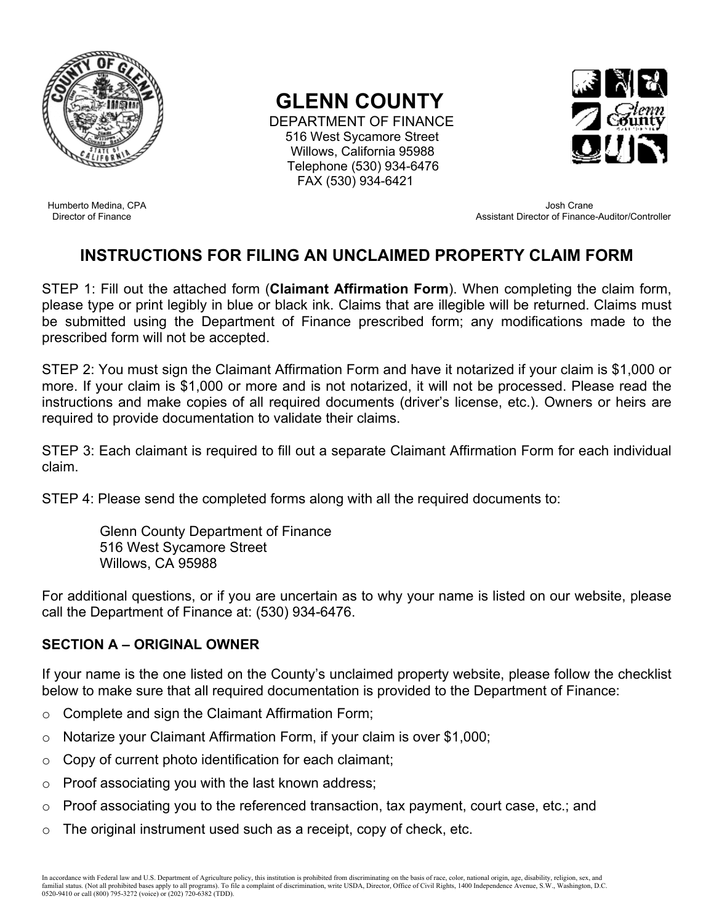

# **GLENN COUNTY**

 DEPARTMENT OF FINANCE 516 West Sycamore Street Willows, California 95988 Telephone (530) 934-6476 FAX (530) 934-6421



 Humberto Medina, CPA Josh Crane Assistant Director of Finance-Auditor/Controller

## **INSTRUCTIONS FOR FILING AN UNCLAIMED PROPERTY CLAIM FORM**

STEP 1: Fill out the attached form (**Claimant Affirmation Form**). When completing the claim form, please type or print legibly in blue or black ink. Claims that are illegible will be returned. Claims must be submitted using the Department of Finance prescribed form; any modifications made to the prescribed form will not be accepted.

STEP 2: You must sign the Claimant Affirmation Form and have it notarized if your claim is \$1,000 or more. If your claim is \$1,000 or more and is not notarized, it will not be processed. Please read the instructions and make copies of all required documents (driver's license, etc.). Owners or heirs are required to provide documentation to validate their claims.

STEP 3: Each claimant is required to fill out a separate Claimant Affirmation Form for each individual claim.

STEP 4: Please send the completed forms along with all the required documents to:

Glenn County Department of Finance 516 West Sycamore Street Willows, CA 95988

For additional questions, or if you are uncertain as to why your name is listed on our website, please call the Department of Finance at: (530) 934-6476.

## **SECTION A – ORIGINAL OWNER**

If your name is the one listed on the County's unclaimed property website, please follow the checklist below to make sure that all required documentation is provided to the Department of Finance:

- o Complete and sign the Claimant Affirmation Form;
- o Notarize your Claimant Affirmation Form, if your claim is over \$1,000;
- $\circ$  Copy of current photo identification for each claimant;
- $\circ$  Proof associating you with the last known address;
- o Proof associating you to the referenced transaction, tax payment, court case, etc.; and
- $\circ$  The original instrument used such as a receipt, copy of check, etc.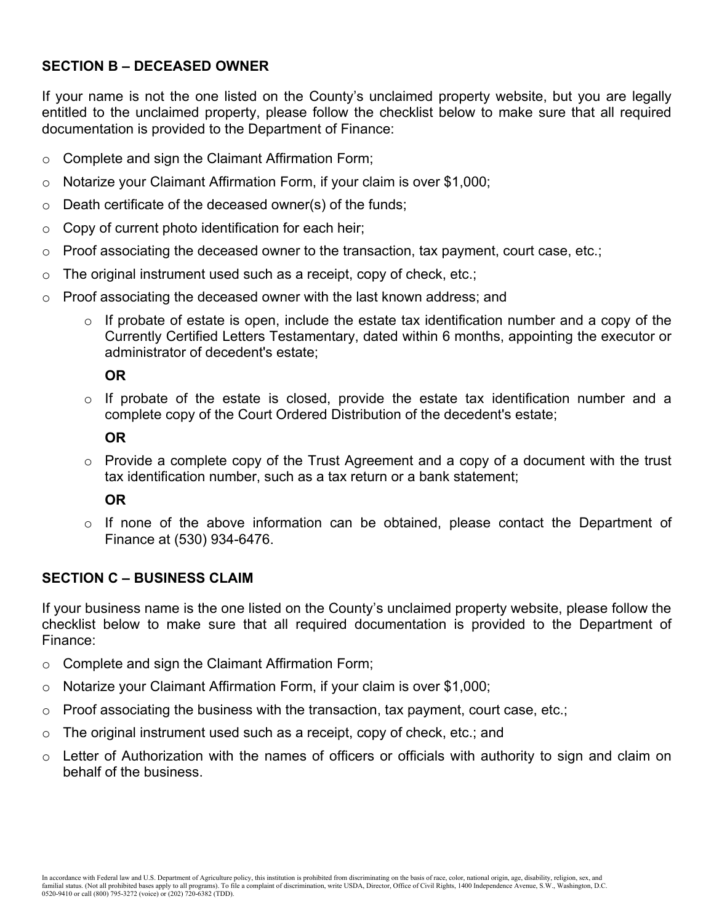## **SECTION B – DECEASED OWNER**

If your name is not the one listed on the County's unclaimed property website, but you are legally entitled to the unclaimed property, please follow the checklist below to make sure that all required documentation is provided to the Department of Finance:

- o Complete and sign the Claimant Affirmation Form;
- $\circ$  Notarize your Claimant Affirmation Form, if your claim is over \$1,000;
- $\circ$  Death certificate of the deceased owner(s) of the funds;
- $\circ$  Copy of current photo identification for each heir;
- $\circ$  Proof associating the deceased owner to the transaction, tax payment, court case, etc.;
- $\circ$  The original instrument used such as a receipt, copy of check, etc.;
- o Proof associating the deceased owner with the last known address; and
	- $\circ$  If probate of estate is open, include the estate tax identification number and a copy of the Currently Certified Letters Testamentary, dated within 6 months, appointing the executor or administrator of decedent's estate;

#### **OR**

o If probate of the estate is closed, provide the estate tax identification number and a complete copy of the Court Ordered Distribution of the decedent's estate;

#### **OR**

 $\circ$  Provide a complete copy of the Trust Agreement and a copy of a document with the trust tax identification number, such as a tax return or a bank statement;

## **OR**

 $\circ$  If none of the above information can be obtained, please contact the Department of Finance at (530) 934-6476.

#### **SECTION C – BUSINESS CLAIM**

If your business name is the one listed on the County's unclaimed property website, please follow the checklist below to make sure that all required documentation is provided to the Department of Finance:

- o Complete and sign the Claimant Affirmation Form;
- $\circ$  Notarize your Claimant Affirmation Form, if your claim is over \$1,000;
- $\circ$  Proof associating the business with the transaction, tax payment, court case, etc.;
- $\circ$  The original instrument used such as a receipt, copy of check, etc.; and
- $\circ$  Letter of Authorization with the names of officers or officials with authority to sign and claim on behalf of the business.